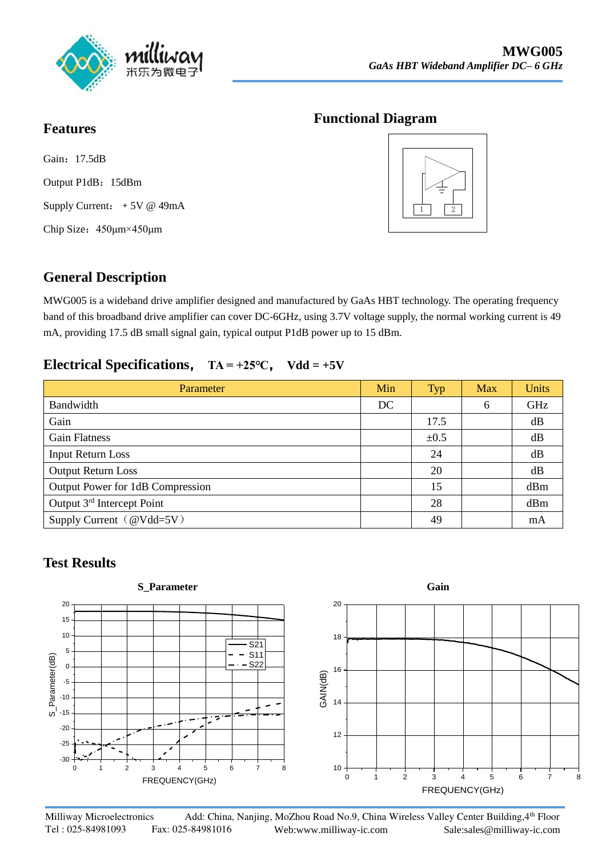

### **Functional Diagram**

Gain: 17.5dB Output P1dB: 15dBm Supply Current: +5V @ 49mA Chip Size:450μm×450μm

**Features**



## **General Description**

MWG005 is a wideband drive amplifier designed and manufactured by GaAs HBT technology. The operating frequency band of this broadband drive amplifier can cover DC-6GHz, using 3.7V voltage supply, the normal working current is 49 mA, providing 17.5 dB small signal gain, typical output P1dB power up to 15 dBm.

### **Electrical Specifications**, **TA = +25℃**, **Vdd = +5V**

| Parameter                        | Min | <b>Typ</b> | <b>Max</b> | <b>Units</b> |
|----------------------------------|-----|------------|------------|--------------|
| Bandwidth                        | DC  |            | 6          | GHz          |
| Gain                             |     | 17.5       |            | dB           |
| <b>Gain Flatness</b>             |     | $\pm 0.5$  |            | dB           |
| <b>Input Return Loss</b>         |     | 24         |            | dB           |
| <b>Output Return Loss</b>        |     | 20         |            | dB           |
| Output Power for 1dB Compression |     | 15         |            | dBm          |
| Output 3rd Intercept Point       |     | 28         |            | dBm          |
| Supply Current (@Vdd=5V)         |     | 49         |            | mA           |

## **Test Results**

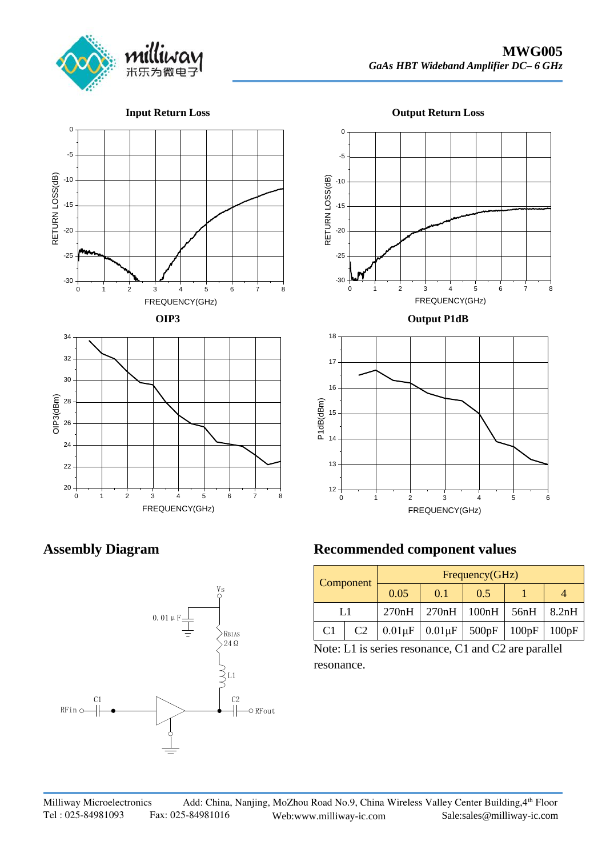

**Input Return Loss**









**Assembly Diagram**

 $20 \leftarrow 1$ 

22 <del>+ + + + + + + +</del>

24



FREQUENCY(GHz)

| <b>Recommended component values</b> |                 |  |                |              |       |       |       |  |
|-------------------------------------|-----------------|--|----------------|--------------|-------|-------|-------|--|
| Vs<br>O                             | Component<br>L1 |  | Frequency(GHz) |              |       |       |       |  |
|                                     |                 |  | 0.05           | 0.1          | 0.5   |       |       |  |
|                                     |                 |  | 270nH          | 270nH        | 100nH | 56nH  | 8.2nH |  |
| RBIAS<br>$\sim$ $\sim$              |                 |  | $0.01 \mu F$   | $0.01 \mu F$ | 500pF | 100pF | 100pF |  |

Note: L1 is series resonance, C1 and C2 are parallel resonance.